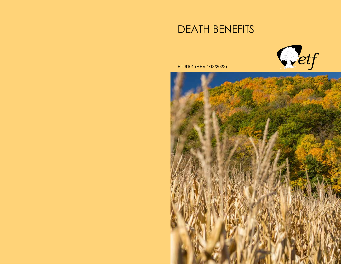# DEATH BENEFITS



ET-6101 (REV 1/13/2022)

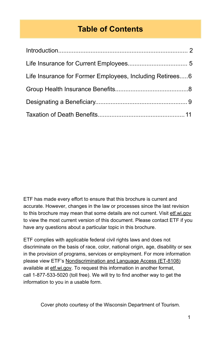# **Table of Contents**

| Life Insurance for Former Employees, Including Retirees6 |  |
|----------------------------------------------------------|--|
|                                                          |  |
|                                                          |  |
|                                                          |  |

ETF has made every effort to ensure that this brochure is current and accurate. However, changes in the law or processes since the last revision to this brochure may mean that some details are not current. Visit etf.wi.gov to view the most current version of this document. Please contact ETF if you have any questions about a particular topic in this brochure.

ETF complies with applicable federal civil rights laws and does not discriminate on the basis of race, color, national origin, age, disability or sex in the provision of programs, services or employment. For more information please view ETF's [Nondiscrimination and Language Access \(ET-8108\)](https://etf.wi.gov/resource/nondiscrimination-and-language-access) available at [etf.wi.gov](https://etf.wi.gov/). To request this information in another format, call 1-877-533-5020 (toll free). We will try to find another way to get the information to you in a usable form.

Cover photo courtesy of the Wisconsin Department of Tourism.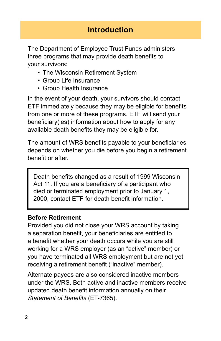## **Introduction**

The Department of Employee Trust Funds administers three programs that may provide death benefits to your survivors:

- The Wisconsin Retirement System
- Group Life Insurance
- Group Health Insurance

In the event of your death, your survivors should contact ETF immediately because they may be eligible for benefits from one or more of these programs. ETF will send your beneficiary(ies) information about how to apply for any available death benefits they may be eligible for.

The amount of WRS benefits payable to your beneficiaries depends on whether you die before you begin a retirement benefit or after.

Death benefits changed as a result of 1999 Wisconsin Act 11. If you are a beneficiary of a participant who died or terminated employment prior to January 1, 2000, contact ETF for death benefit information.

#### **Before Retirement**

Provided you did not close your WRS account by taking a separation benefit, your beneficiaries are entitled to a benefit whether your death occurs while you are still working for a WRS employer (as an "active" member) or you have terminated all WRS employment but are not yet receiving a retirement benefit ("inactive" member).

Alternate payees are also considered inactive members under the WRS. Both active and inactive members receive updated death benefit information annually on their *Statement of Benefits* (ET-7365).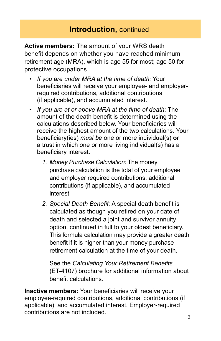**Active members:** The amount of your WRS death benefit depends on whether you have reached minimum retirement age (MRA), which is age 55 for most; age 50 for protective occupations.

- *If you are under MRA at the time of death:* Your beneficiaries will receive your employee- and employerrequired contributions, additional contributions (if applicable), and accumulated interest.
- *If you are at or above MRA at the time of death*: The amount of the death benefit is determined using the calculations described below. Your beneficiaries will receive the highest amount of the two calculations. Your beneficiary(ies) *must be* one or more individual(s) **or**  a trust in which one or more living individual(s) has a beneficiary interest.
	- *1. Money Purchase Calculation:* The money purchase calculation is the total of your employee and employer required contributions, additional contributions (if applicable), and accumulated interest.
	- *2. Special Death Benefit:* A special death benefit is calculated as though you retired on your date of death and selected a joint and survivor annuity option, continued in full to your oldest beneficiary. This formula calculation may provide a greater death benefit if it is higher than your money purchase retirement calculation at the time of your death.

 See the *[Calculating Your Retirement Benefits](https://etf.wi.gov/resource/calculating-your-retirement-benefits)* (ET-4107) brochure for additional information about benefit calculations.

**Inactive members:** Your beneficiaries will receive your employee-required contributions, additional contributions (if applicable), and accumulated interest. Employer-required contributions are not included.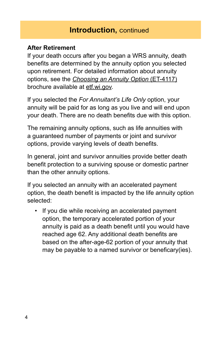## **Introduction,** continued

#### **After Retirement**

If your death occurs after you began a WRS annuity, death benefits are determined by the annuity option you selected upon retirement. For detailed information about annuity options, see the *[Choosing an Annuity Option](https://etf.wi.gov/resource/choosing-annuity-option)* (ET-4117) brochure available at [etf.wi.gov.](http://etf.wi.gov)

If you selected the *For Annuitant's Life Only* option, your annuity will be paid for as long as you live and will end upon your death. There are no death benefits due with this option.

The remaining annuity options, such as life annuities with a guaranteed number of payments or joint and survivor options, provide varying levels of death benefits.

In general, joint and survivor annuities provide better death benefit protection to a surviving spouse or domestic partner than the other annuity options.

If you selected an annuity with an accelerated payment option, the death benefit is impacted by the life annuity option selected:

If you die while receiving an accelerated payment option, the temporary accelerated portion of your annuity is paid as a death benefit until you would have reached age 62. Any additional death benefits are based on the after-age-62 portion of your annuity that may be payable to a named survivor or beneficary(ies).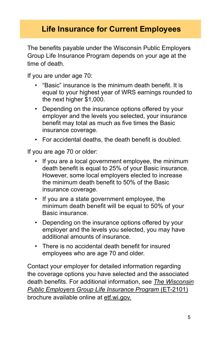# **Life Insurance for Current Employees**

The benefits payable under the Wisconsin Public Employers Group Life Insurance Program depends on your age at the time of death.

If you are under age 70:

- "Basic" insurance is the minimum death benefit. It is equal to your highest year of WRS earnings rounded to the next higher \$1,000.
- Depending on the insurance options offered by your employer and the levels you selected, your insurance benefit may total as much as five times the Basic insurance coverage.
- For accidental deaths, the death benefit is doubled.

If you are age 70 or older:

- If you are a local government employee, the minimum death benefit is equal to 25% of your Basic insurance. However, some local employers elected to increase the minimum death benefit to 50% of the Basic insurance coverage.
- If you are a state government employee, the minimum death benefit will be equal to 50% of your Basic insurance.
- Depending on the insurance options offered by your employer and the levels you selected, you may have additional amounts of insurance.
- There is no accidental death benefit for insured employees who are age 70 and older.

 death benefits. For additional information, see *The Wisconsin* brochure available online at <u>[etf.wi.gov.](http://etf.wi.gov)</u><br>5 Contact your employer for detailed information regarding the coverage options you have selected and the associated *[Public Employers Group Life Insurance Program](https://etf.wi.gov/resource/wisconsin-public-employers-group-life-insurance-program)* (ET-2101)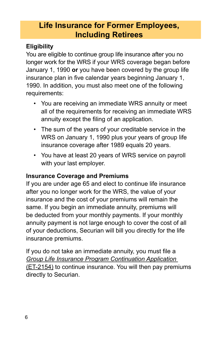# **Life Insurance for Former Employees, Including Retirees**

#### **Eligibility**

 longer work for the WRS if your WRS coverage began before You are eligible to continue group life insurance after you no January 1, 1990 **or** you have been covered by the group life insurance plan in five calendar years beginning January 1, 1990. In addition, you must also meet one of the following requirements:

- You are receiving an immediate WRS annuity or meet all of the requirements for receiving an immediate WRS annuity except the filing of an application.
- The sum of the years of your creditable service in the WRS on January 1, 1990 plus your years of group life insurance coverage after 1989 equals 20 years.
- You have at least 20 years of WRS service on payroll with your last employer.

## **Insurance Coverage and Premiums**

If you are under age 65 and elect to continue life insurance after you no longer work for the WRS, the value of your insurance and the cost of your premiums will remain the same. If you begin an immediate annuity, premiums will be deducted from your monthly payments. If your monthly annuity payment is not large enough to cover the cost of all of your deductions, Securian will bill you directly for the life insurance premiums.

If you do not take an immediate annuity, you must file a *[Group Life Insurance Program Continuation Application](https://etf.wi.gov/resource/group-life-insurance-continuation-application)*  [\(ET-2154\)](https://etf.wi.gov/resource/group-life-insurance-continuation-application) to continue insurance. You will then pay premiums directly to Securian.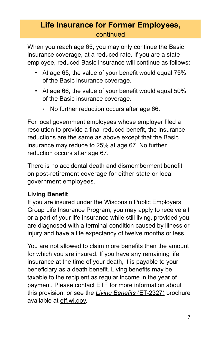## **Life Insurance for Former Employees,**  continued

When you reach age 65, you may only continue the Basic insurance coverage, at a reduced rate. If you are a state employee, reduced Basic insurance will continue as follows:

- At age 65, the value of your benefit would equal 75% of the Basic insurance coverage.
- At age 66, the value of your benefit would equal 50% of the Basic insurance coverage.
	- No further reduction occurs after age 66.

For local government employees whose employer filed a resolution to provide a final reduced benefit, the insurance reductions are the same as above except that the Basic insurance may reduce to 25% at age 67. No further reduction occurs after age 67.

There is no accidental death and dismemberment benefit on post-retirement coverage for either state or local government employees.

## **Living Benefit**

If you are insured under the Wisconsin Public Employers Group Life Insurance Program, you may apply to receive all or a part of your life insurance while still living, provided you are diagnosed with a terminal condition caused by illness or injury and have a life expectancy of twelve months or less.

You are not allowed to claim more benefits than the amount for which you are insured. If you have any remaining life insurance at the time of your death, it is payable to your beneficiary as a death benefit. Living benefits may be taxable to the recipient as regular income in the year of payment. Please contact ETF for more information about this provision, or see the *[Living Benefits](https://etf.wi.gov/resource/living-benefits-brochure)* (ET-2327) brochure available at [etf.wi.gov.](http://etf.wi.gov)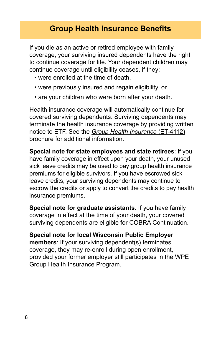# **Group Health Insurance Benefits**

If you die as an active or retired employee with family coverage, your surviving insured dependents have the right to continue coverage for life. Your dependent children may continue coverage until eligibility ceases, if they:

- were enrolled at the time of death,
- were previously insured and regain eligibility, or
- are your children who were born after your death.

Health insurance coverage will automatically continue for covered surviving dependents. Surviving dependents may terminate the health insurance coverage by providing written notice to ETF. See the *[Group Health Insurance](https://etf.wi.gov/resource/group-health-insurance)* (ET-4112) brochure for additional information.

**Special note for state employees and state retirees**: If you have family coverage in effect upon your death, your unused sick leave credits may be used to pay group health insurance premiums for eligible survivors. If you have escrowed sick leave credits, your surviving dependents may continue to escrow the credits or apply to convert the credits to pay health insurance premiums.

**Special note for graduate assistants**: If you have family coverage in effect at the time of your death, your covered surviving dependents are eligible for COBRA Continuation.

**Special note for local Wisconsin Public Employer members**: If your surviving dependent(s) terminates coverage, they may re-enroll during open enrollment, provided your former employer still participates in the WPE Group Health Insurance Program.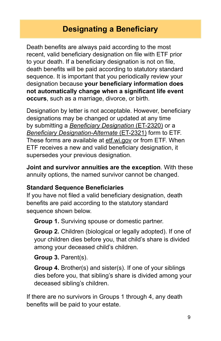# **Designating a Beneficiary**

Death benefits are always paid according to the most recent, valid beneficiary designation on file with ETF prior to your death. If a beneficiary designation is not on file, death benefits will be paid according to statutory standard sequence. It is important that you periodically review your designation because **your beneficiary information does not automatically change when a significant life event occurs**, such as a marriage, divorce, or birth.

Designation by letter is not acceptable. However, beneficiary designations may be changed or updated at any time by submitting a *[Beneficiary Designation](https://etf.wi.gov/resource/beneficiary-designation)* (ET-2320) or a *[Beneficiary Designation-Alternate](https://etf.wi.gov/resource/beneficiary-designation-alternate)* (ET-2321) form to ETF. These forms are available at [etf.wi.gov](https://etf.wi.gov/) or from ETF. When ETF receives a new and valid beneficiary designation, it supersedes your previous designation.

**Joint and survivor annuities are the exception**. With these annuity options, the named survivor cannot be changed.

#### **Standard Sequence Beneficiaries**

If you have not filed a valid beneficiary designation, death benefits are paid according to the statutory standard sequence shown below.

**Group 1.** Surviving spouse or domestic partner.

**Group 2.** Children (biological or legally adopted). If one of your children dies before you, that child's share is divided among your deceased child's children.

**Group 3.** Parent(s).

**Group 4.** Brother(s) and sister(s). If one of your siblings dies before you, that sibling's share is divided among your deceased sibling's children.

If there are no survivors in Groups 1 through 4, any death benefits will be paid to your estate.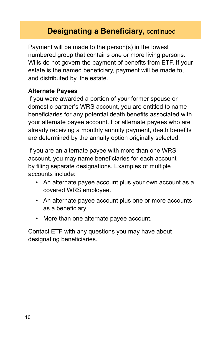# **Designating a Beneficiary, continued**

Payment will be made to the person(s) in the lowest numbered group that contains one or more living persons. Wills do not govern the payment of benefits from ETF. If your estate is the named beneficiary, payment will be made to, and distributed by, the estate.

#### **Alternate Payees**

If you were awarded a portion of your former spouse or domestic partner's WRS account, you are entitled to name beneficiaries for any potential death benefits associated with your alternate payee account. For alternate payees who are already receiving a monthly annuity payment, death benefits are determined by the annuity option originally selected.

If you are an alternate payee with more than one WRS account, you may name beneficiaries for each account by filing separate designations. Examples of multiple accounts include:

- An alternate payee account plus your own account as a covered WRS employee.
- An alternate payee account plus one or more accounts as a beneficiary.
- More than one alternate payee account.

Contact ETF with any questions you may have about designating beneficiaries.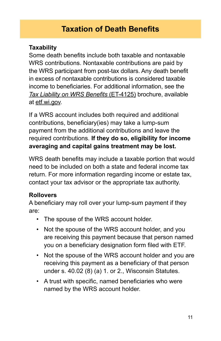# **Taxation of Death Benefits**

#### **Taxability**

Some death benefits include both taxable and nontaxable WRS contributions. Nontaxable contributions are paid by the WRS participant from post-tax dollars. Any death benefit in excess of nontaxable contributions is considered taxable income to beneficiaries. For additional information, see the *[Tax Liability on WRS Benefits](https://etf.wi.gov/resource/tax-liability-wrs-benefits)* (ET-4125) brochure, available at [etf.wi.gov](http://etf.wi.gov).

If a WRS account includes both required and additional contributions, beneficiary(ies) may take a lump-sum payment from the additional contributions and leave the required contributions. **If they do so, eligibility for income averaging and capital gains treatment may be lost.** 

WRS death benefits may include a taxable portion that would need to be included on both a state and federal income tax return. For more information regarding income or estate tax, contact your tax advisor or the appropriate tax authority.

#### **Rollovers**

A beneficiary may roll over your lump-sum payment if they are:

- The spouse of the WRS account holder.
- Not the spouse of the WRS account holder, and you are receiving this payment because that person named you on a beneficiary designation form filed with ETF.
- Not the spouse of the WRS account holder and you are receiving this payment as a beneficiary of that person under s. 40.02 (8) (a) 1. or 2., Wisconsin Statutes.
- A trust with specific, named beneficiaries who were named by the WRS account holder.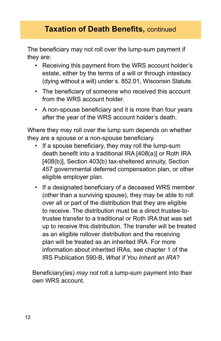The beneficiary may not roll over the lump-sum payment if they are:

- Receiving this payment from the WRS account holder's estate, either by the terms of a will or through intestacy (dying without a will) under s. 852.01, Wisconsin Statute.
- The beneficiary of someone who received this account from the WRS account holder.
- A non-spouse beneficiary and it is more than four years after the year of the WRS account holder's death.

Where they may roll over the lump sum depends on whether they are a spouse or a non-spouse beneficiary.

- If a spouse beneficiary, they may roll the lump-sum death benefit into a traditional IRA [408(a)] or Roth IRA [408(b)], Section 403(b) tax-sheltered annuity, Section 457 governmental deferred compensation plan, or other eligible employer plan.
- If a designated beneficiary of a deceased WRS member (other than a surviving spouse), they may be able to roll over all or part of the distribution that they are eligible to receive. The distribution must be a direct trustee-totrustee transfer to a traditional or Roth IRA that was set up to receive this distribution. The transfer will be treated as an eligible rollover distribution and the receiving plan will be treated as an inherited IRA. For more information about inherited IRAs, see chapter 1 of the IRS Publication 590-B, *What if You Inherit an IRA*?

Beneficiary(ies) *may not* roll a lump-sum payment into their own WRS account.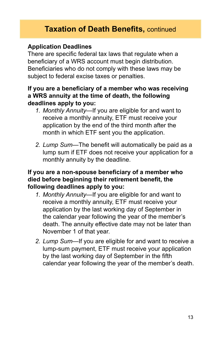#### **Application Deadlines**

There are specific federal tax laws that regulate when a beneficiary of a WRS account must begin distribution. Beneficiaries who do not comply with these laws may be subject to federal excise taxes or penalties.

#### **If you are a beneficiary of a member who was receiving a WRS annuity at the time of death, the following deadlines apply to you:**

- *1. Monthly Annuity*—If you are eligible for and want to receive a monthly annuity, ETF must receive your application by the end of the third month after the month in which ETF sent you the application.
- *2. Lump Sum*—The benefit will automatically be paid as a lump sum if ETF does not receive your application for a monthly annuity by the deadline.

#### **If you are a non-spouse beneficiary of a member who died before beginning their retirement benefit, the following deadlines apply to you:**

- *1. Monthly Annuity*—If you are eligible for and want to receive a monthly annuity, ETF must receive your application by the last working day of September in the calendar year following the year of the member's death. The annuity effective date may not be later than November 1 of that year.
- *2. Lump Sum*—If you are eligible for and want to receive a lump-sum payment, ETF must receive your application by the last working day of September in the fifth calendar year following the year of the member's death.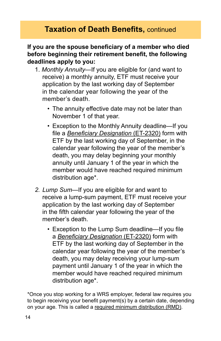#### **If you are the spouse beneficiary of a member who died before beginning their retirement benefit, the following deadlines apply to you:**

- 1. *Monthly Annuity—*If you are eligible for (and want to receive) a monthly annuity, ETF must receive your application by the last working day of September in the calendar year following the year of the member's death.
	- The annuity effective date may not be later than November 1 of that year.
	- Exception to the Monthly Annuity deadline—If you file a *[Beneficiary Designation](https://etf.wi.gov/resource/beneficiary-designation#)* (ET-2320) form with ETF by the last working day of September, in the calendar year following the year of the member's death, you may delay beginning your monthly annuity until January 1 of the year in which the member would have reached required minimum distribution age\*.
- *2. Lump Sum—*If you are eligible for and want to receive a lump-sum payment, ETF must receive your application by the last working day of September in the fifth calendar year following the year of the member's death.
	- Exception to the Lump Sum deadline—If you file a *[Beneficiary Designation](https://etf.wi.gov/resource/beneficiary-designation#)* (ET-2320) form with ETF by the last working day of September in the calendar year following the year of the member's death, you may delay receiving your lump-sum payment until January 1 of the year in which the member would have reached required minimum distribution age\*.

\*Once you stop working for a WRS employer, federal law requires you to begin receiving your benefit payment(s) by a certain date, depending on your age. This is called a [required minimum distribution \(RMD\)](https://etf.wi.gov/retirement/required-minimum-distribution).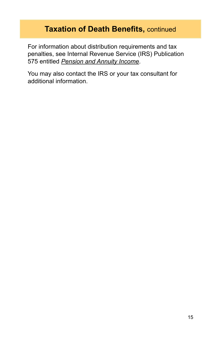For information about distribution requirements and tax penalties, see Internal Revenue Service (IRS) Publication 575 entitled *[Pension and Annuity Income](https://www.irs.gov/pub/irs-pdf/p575.pdf)*.

You may also contact the IRS or your tax consultant for additional information.